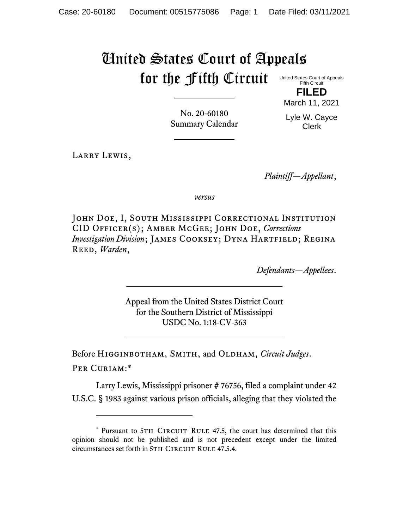## United States Court of Appeals for the Fifth Circuit

United States Court of Appeals Fifth Circuit

**FILED** March 11, 2021

No. 20-60180 Summary Calendar Lyle W. Cayce Clerk

LARRY LEWIS,

*Plaintiff—Appellant*,

*versus*

JOHN DOE, I, SOUTH MISSISSIPPI CORRECTIONAL INSTITUTION CID Officer(s); Amber McGee; John Doe, *Corrections Investigation Division*; JAMES COOKSEY; DYNA HARTFIELD; REGINA Reed, *Warden*,

*Defendants—Appellees*.

Appeal from the United States District Court for the Southern District of Mississippi USDC No. 1:18-CV-363

Before Higginbotham, Smith, and Oldham, *Circuit Judges*. Per Curiam:\*

Larry Lewis, Mississippi prisoner # 76756, filed a complaint under 42 U.S.C. § 1983 against various prison officials, alleging that they violated the

<sup>\*</sup> Pursuant to 5TH CIRCUIT RULE 47.5, the court has determined that this opinion should not be published and is not precedent except under the limited circumstances set forth in 5TH CIRCUIT RULE 47.5.4.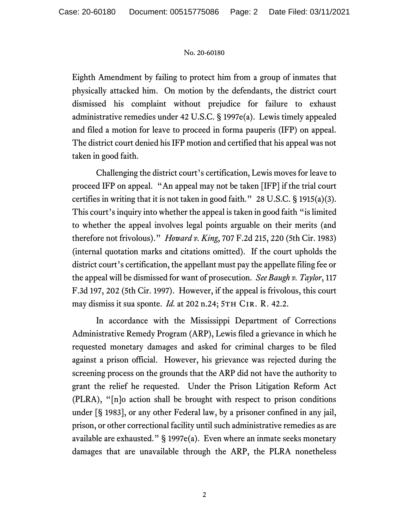## No. 20-60180

Eighth Amendment by failing to protect him from a group of inmates that physically attacked him. On motion by the defendants, the district court dismissed his complaint without prejudice for failure to exhaust administrative remedies under 42 U.S.C. § 1997e(a). Lewis timely appealed and filed a motion for leave to proceed in forma pauperis (IFP) on appeal. The district court denied his IFP motion and certified that his appeal was not taken in good faith.

Challenging the district court's certification, Lewis moves for leave to proceed IFP on appeal. "An appeal may not be taken [IFP] if the trial court certifies in writing that it is not taken in good faith."  $28$  U.S.C. § 1915(a)(3). This court's inquiry into whether the appeal is taken in good faith "is limited to whether the appeal involves legal points arguable on their merits (and therefore not frivolous)." *Howard v. King*, 707 F.2d 215, 220 (5th Cir. 1983) (internal quotation marks and citations omitted). If the court upholds the district court's certification, the appellant must pay the appellate filing fee or the appeal will be dismissed for want of prosecution. *See Baugh v. Taylor*, 117 F.3d 197, 202 (5th Cir. 1997). However, if the appeal is frivolous, this court may dismiss it sua sponte. *Id.* at 202 n.24; 5TH CIR. R. 42.2.

In accordance with the Mississippi Department of Corrections Administrative Remedy Program (ARP), Lewis filed a grievance in which he requested monetary damages and asked for criminal charges to be filed against a prison official. However, his grievance was rejected during the screening process on the grounds that the ARP did not have the authority to grant the relief he requested. Under the Prison Litigation Reform Act (PLRA), "[n]o action shall be brought with respect to prison conditions under [§ 1983], or any other Federal law, by a prisoner confined in any jail, prison, or other correctional facility until such administrative remedies as are available are exhausted." § 1997e(a). Even where an inmate seeks monetary damages that are unavailable through the ARP, the PLRA nonetheless